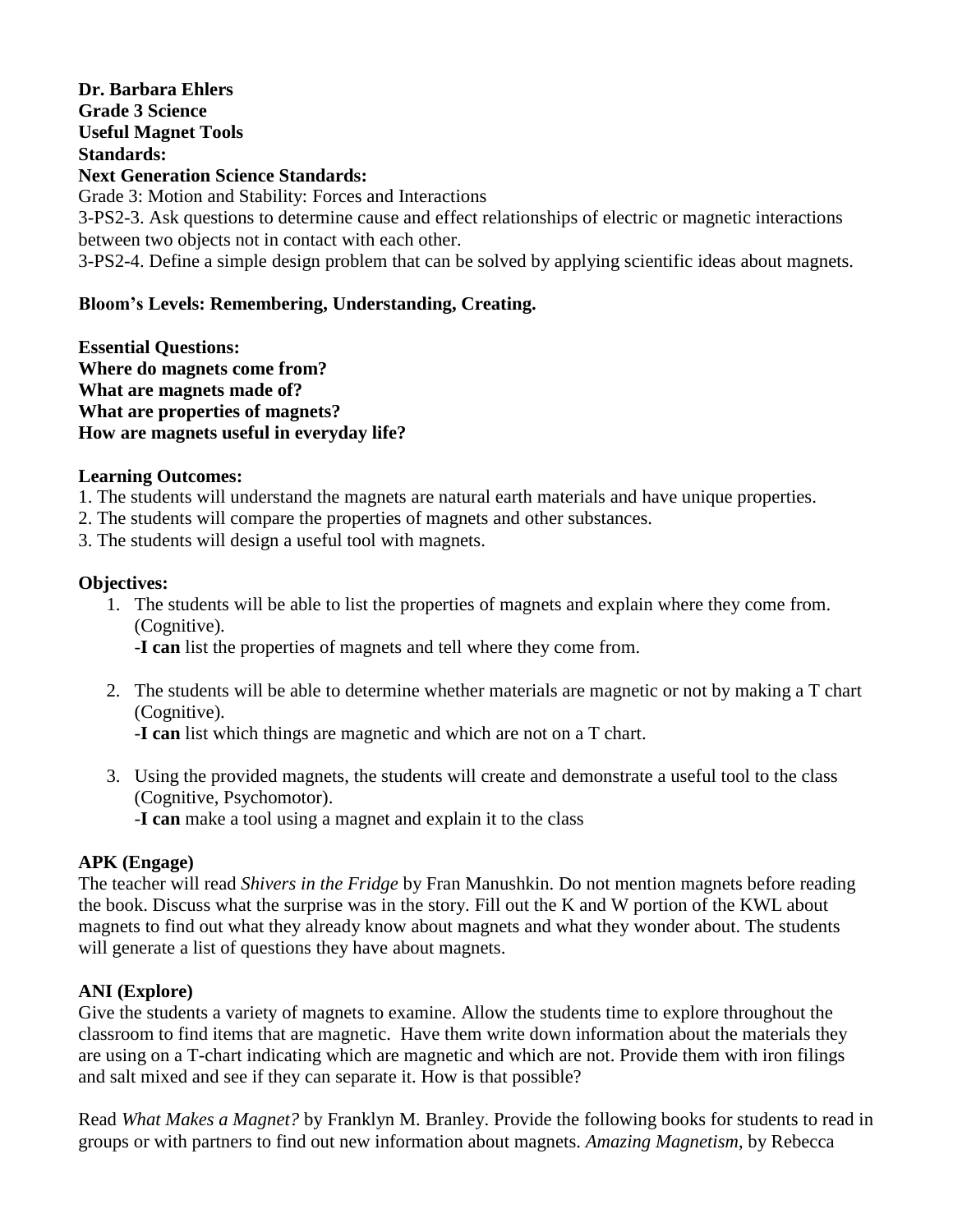**Dr. Barbara Ehlers Grade 3 Science Useful Magnet Tools Standards: Next Generation Science Standards:** Grade 3: Motion and Stability: Forces and Interactions

3-PS2-3. Ask questions to determine cause and effect relationships of electric or magnetic interactions between two objects not in contact with each other.

3-PS2-4. Define a simple design problem that can be solved by applying scientific ideas about magnets.

## **Bloom's Levels: Remembering, Understanding, Creating.**

**Essential Questions: Where do magnets come from? What are magnets made of? What are properties of magnets? How are magnets useful in everyday life?**

#### **Learning Outcomes:**

- 1. The students will understand the magnets are natural earth materials and have unique properties.
- 2. The students will compare the properties of magnets and other substances.
- 3. The students will design a useful tool with magnets.

#### **Objectives:**

- 1. The students will be able to list the properties of magnets and explain where they come from. (Cognitive).
	- -**I can** list the properties of magnets and tell where they come from.
- 2. The students will be able to determine whether materials are magnetic or not by making a T chart (Cognitive).

-**I can** list which things are magnetic and which are not on a T chart.

3. Using the provided magnets, the students will create and demonstrate a useful tool to the class (Cognitive, Psychomotor).

-**I can** make a tool using a magnet and explain it to the class

### **APK (Engage)**

The teacher will read *Shivers in the Fridge* by Fran Manushkin. Do not mention magnets before reading the book. Discuss what the surprise was in the story. Fill out the K and W portion of the KWL about magnets to find out what they already know about magnets and what they wonder about. The students will generate a list of questions they have about magnets.

### **ANI (Explore)**

Give the students a variety of magnets to examine. Allow the students time to explore throughout the classroom to find items that are magnetic. Have them write down information about the materials they are using on a T-chart indicating which are magnetic and which are not. Provide them with iron filings and salt mixed and see if they can separate it. How is that possible?

Read *What Makes a Magnet?* by Franklyn M. Branley. Provide the following books for students to read in groups or with partners to find out new information about magnets. *Amazing Magnetism*, by Rebecca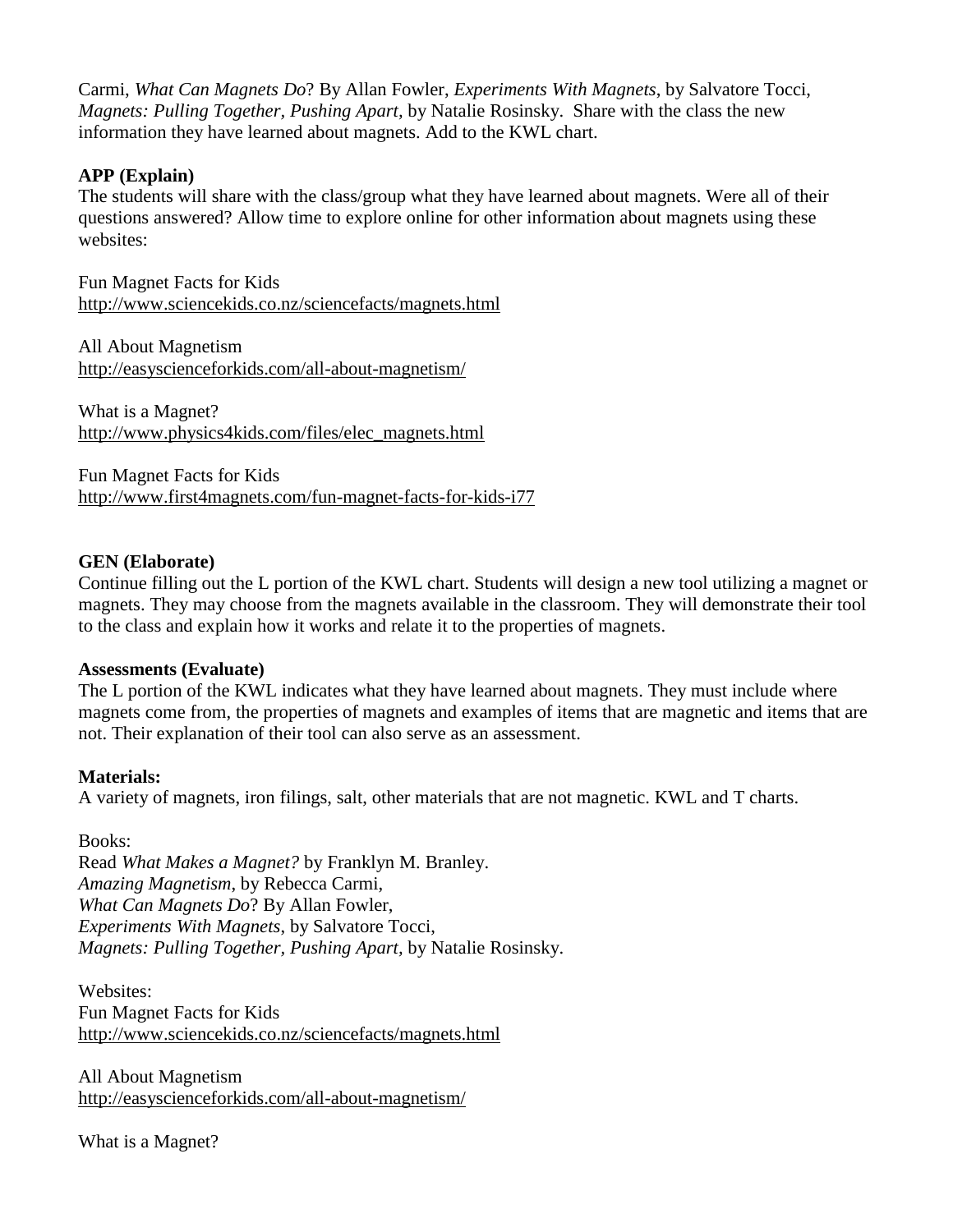Carmi, *What Can Magnets Do*? By Allan Fowler, *Experiments With Magnets*, by Salvatore Tocci, *Magnets: Pulling Together, Pushing Apart,* by Natalie Rosinsky. Share with the class the new information they have learned about magnets. Add to the KWL chart.

## **APP (Explain)**

The students will share with the class/group what they have learned about magnets. Were all of their questions answered? Allow time to explore online for other information about magnets using these websites:

Fun Magnet Facts for Kids <http://www.sciencekids.co.nz/sciencefacts/magnets.html>

All About Magnetism <http://easyscienceforkids.com/all-about-magnetism/>

What is a Magnet? [http://www.physics4kids.com/files/elec\\_magnets.html](http://www.physics4kids.com/files/elec_magnets.html)

Fun Magnet Facts for Kids <http://www.first4magnets.com/fun-magnet-facts-for-kids-i77>

### **GEN (Elaborate)**

Continue filling out the L portion of the KWL chart. Students will design a new tool utilizing a magnet or magnets. They may choose from the magnets available in the classroom. They will demonstrate their tool to the class and explain how it works and relate it to the properties of magnets.

### **Assessments (Evaluate)**

The L portion of the KWL indicates what they have learned about magnets. They must include where magnets come from, the properties of magnets and examples of items that are magnetic and items that are not. Their explanation of their tool can also serve as an assessment.

### **Materials:**

A variety of magnets, iron filings, salt, other materials that are not magnetic. KWL and T charts.

Books: Read *What Makes a Magnet?* by Franklyn M. Branley. *Amazing Magnetism*, by Rebecca Carmi, *What Can Magnets Do*? By Allan Fowler, *Experiments With Magnets*, by Salvatore Tocci, *Magnets: Pulling Together, Pushing Apart,* by Natalie Rosinsky.

Websites: Fun Magnet Facts for Kids <http://www.sciencekids.co.nz/sciencefacts/magnets.html>

All About Magnetism <http://easyscienceforkids.com/all-about-magnetism/>

What is a Magnet?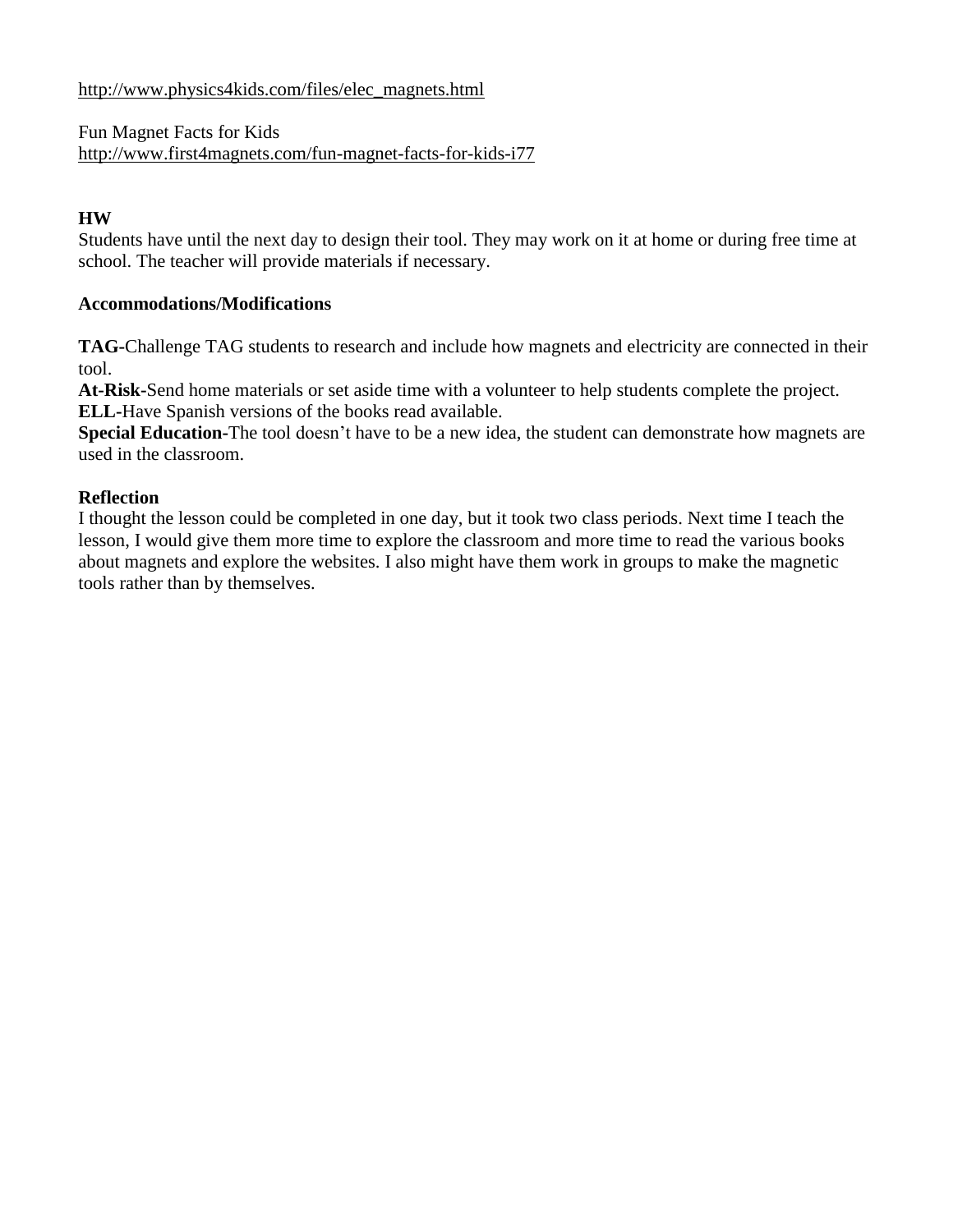## [http://www.physics4kids.com/files/elec\\_magnets.html](http://www.physics4kids.com/files/elec_magnets.html)

Fun Magnet Facts for Kids <http://www.first4magnets.com/fun-magnet-facts-for-kids-i77>

## **HW**

Students have until the next day to design their tool. They may work on it at home or during free time at school. The teacher will provide materials if necessary.

### **Accommodations/Modifications**

**TAG-**Challenge TAG students to research and include how magnets and electricity are connected in their tool.

**At-Risk-**Send home materials or set aside time with a volunteer to help students complete the project. **ELL-**Have Spanish versions of the books read available.

**Special Education-**The tool doesn't have to be a new idea, the student can demonstrate how magnets are used in the classroom.

### **Reflection**

I thought the lesson could be completed in one day, but it took two class periods. Next time I teach the lesson, I would give them more time to explore the classroom and more time to read the various books about magnets and explore the websites. I also might have them work in groups to make the magnetic tools rather than by themselves.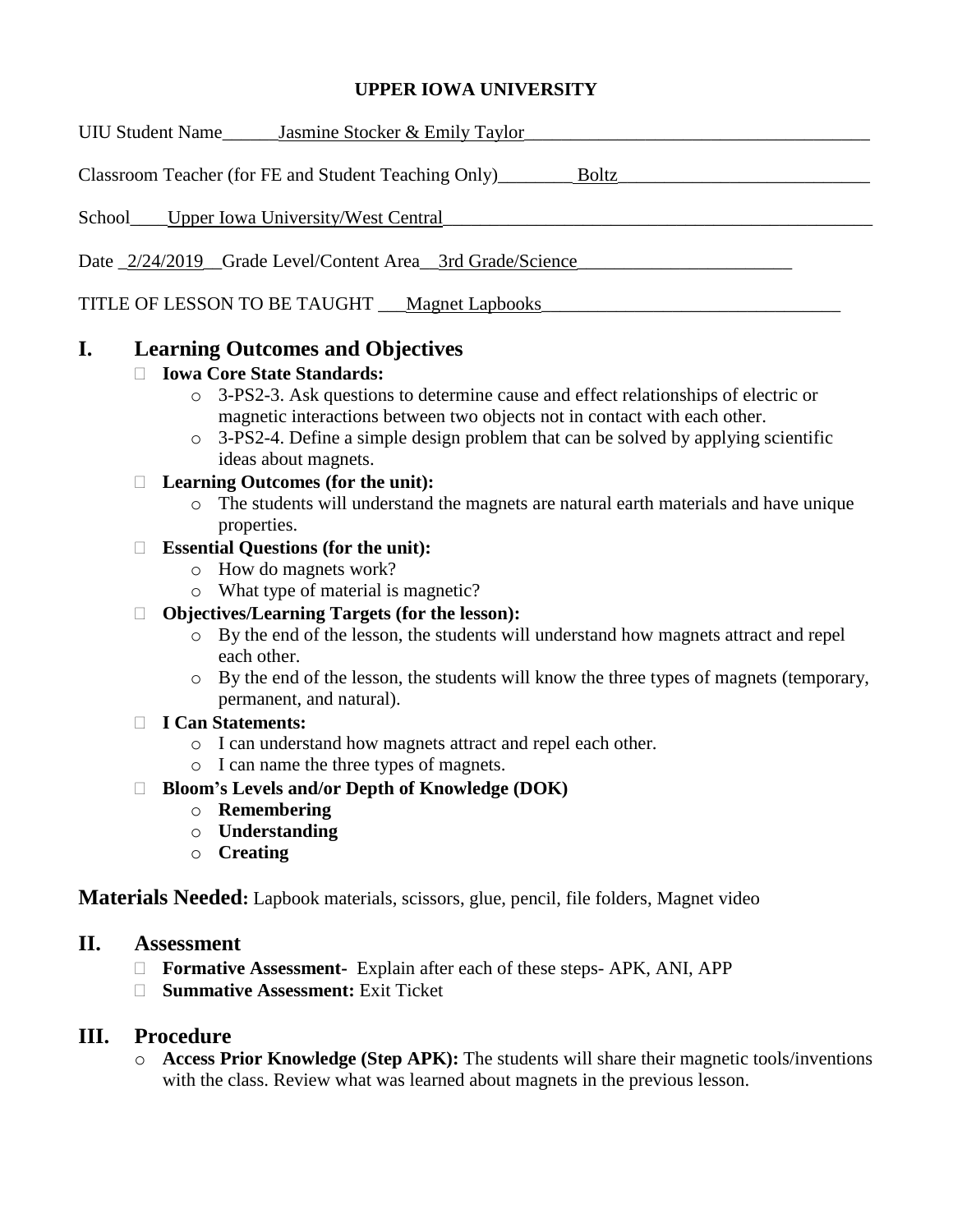## **UPPER IOWA UNIVERSITY**

| UIU Student Name________ Jasmine Stocker & Emily Taylor_    |
|-------------------------------------------------------------|
| Classroom Teacher (for FE and Student Teaching Only) Boltz  |
| School Upper Iowa University/West Central                   |
| Date _2/24/2019_Grade Level/Content Area_3rd Grade/Science_ |
| TITLE OF LESSON TO BE TAUGHT<br><b>Magnet Lapbooks</b>      |

# **I. Learning Outcomes and Objectives**

## **Iowa Core State Standards:**

- o 3-PS2-3. Ask questions to determine cause and effect relationships of electric or magnetic interactions between two objects not in contact with each other.
- o 3-PS2-4. Define a simple design problem that can be solved by applying scientific ideas about magnets.

## **Learning Outcomes (for the unit):**

o The students will understand the magnets are natural earth materials and have unique properties.

## **Essential Questions (for the unit):**

- o How do magnets work?
- o What type of material is magnetic?

## **Objectives/Learning Targets (for the lesson):**

- o By the end of the lesson, the students will understand how magnets attract and repel each other.
- $\circ$  By the end of the lesson, the students will know the three types of magnets (temporary, permanent, and natural).

## **I Can Statements:**

- o I can understand how magnets attract and repel each other.
- o I can name the three types of magnets.

# **Bloom's Levels and/or Depth of Knowledge (DOK)**

- o **Remembering**
- o **Understanding**
- o **Creating**

**Materials Needed:** Lapbook materials, scissors, glue, pencil, file folders, Magnet video

## **II. Assessment**

- **Formative Assessment-** Explain after each of these steps- APK, ANI, APP
- **Summative Assessment:** Exit Ticket

## **III. Procedure**

o **Access Prior Knowledge (Step APK):** The students will share their magnetic tools/inventions with the class. Review what was learned about magnets in the previous lesson.